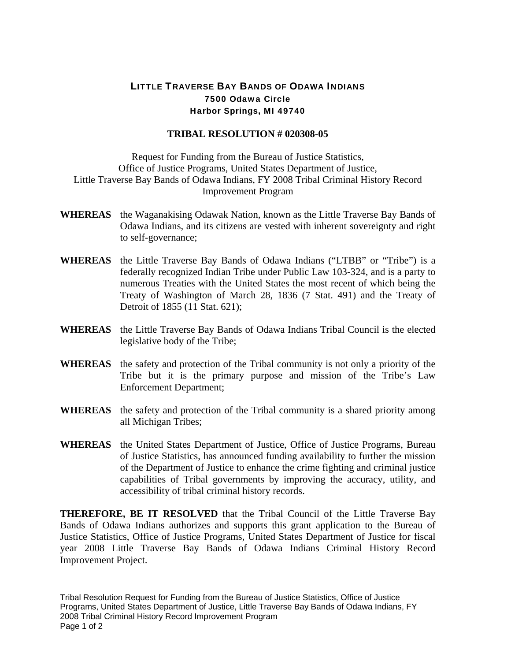## LITTLE TRAVERSE BAY BANDS OF ODAWA INDIANS 7500 Odawa Circle Harbor Springs, MI 49740

## **TRIBAL RESOLUTION # 020308-05**

Request for Funding from the Bureau of Justice Statistics, Office of Justice Programs, United States Department of Justice, Little Traverse Bay Bands of Odawa Indians, FY 2008 Tribal Criminal History Record Improvement Program

- **WHEREAS** the Waganakising Odawak Nation, known as the Little Traverse Bay Bands of Odawa Indians, and its citizens are vested with inherent sovereignty and right to self-governance;
- **WHEREAS** the Little Traverse Bay Bands of Odawa Indians ("LTBB" or "Tribe") is a federally recognized Indian Tribe under Public Law 103-324, and is a party to numerous Treaties with the United States the most recent of which being the Treaty of Washington of March 28, 1836 (7 Stat. 491) and the Treaty of Detroit of 1855 (11 Stat. 621);
- **WHEREAS** the Little Traverse Bay Bands of Odawa Indians Tribal Council is the elected legislative body of the Tribe;
- **WHEREAS** the safety and protection of the Tribal community is not only a priority of the Tribe but it is the primary purpose and mission of the Tribe's Law Enforcement Department;
- **WHEREAS** the safety and protection of the Tribal community is a shared priority among all Michigan Tribes;
- **WHEREAS** the United States Department of Justice, Office of Justice Programs, Bureau of Justice Statistics, has announced funding availability to further the mission of the Department of Justice to enhance the crime fighting and criminal justice capabilities of Tribal governments by improving the accuracy, utility, and accessibility of tribal criminal history records.

**THEREFORE, BE IT RESOLVED** that the Tribal Council of the Little Traverse Bay Bands of Odawa Indians authorizes and supports this grant application to the Bureau of Justice Statistics, Office of Justice Programs, United States Department of Justice for fiscal year 2008 Little Traverse Bay Bands of Odawa Indians Criminal History Record Improvement Project.